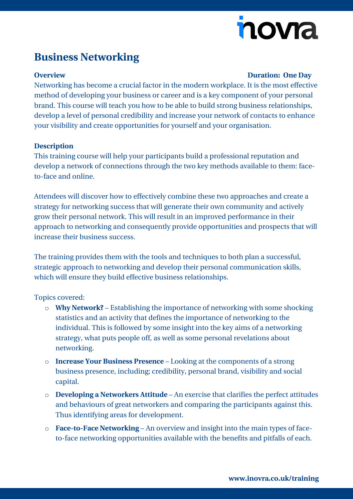# novia

## **Business Networking**

#### **Overview Duration: One Day**

Networking has become a crucial factor in the modern workplace. It is the most effective method of developing your business or career and is a key component of your personal brand. This course will teach you how to be able to build strong business relationships, develop a level of personal credibility and increase your network of contacts to enhance your visibility and create opportunities for yourself and your organisation.

#### **Description**

This training course will help your participants build a professional reputation and develop a network of connections through the two key methods available to them: faceto-face and online.

Attendees will discover how to effectively combine these two approaches and create a strategy for networking success that will generate their own community and actively grow their personal network. This will result in an improved performance in their approach to networking and consequently provide opportunities and prospects that will increase their business success.

The training provides them with the tools and techniques to both plan a successful, strategic approach to networking and develop their personal communication skills, which will ensure they build effective business relationships.

Topics covered:

- o **Why Network?** Establishing the importance of networking with some shocking statistics and an activity that defines the importance of networking to the individual. This is followed by some insight into the key aims of a networking strategy, what puts people off, as well as some personal revelations about networking.
- o **Increase Your Business Presence** Looking at the components of a strong business presence, including; credibility, personal brand, visibility and social capital.
- o **Developing a Networkers Attitude** An exercise that clarifies the perfect attitudes and behaviours of great networkers and comparing the participants against this. Thus identifying areas for development.
- o **Face-to-Face Networking** An overview and insight into the main types of faceto-face networking opportunities available with the benefits and pitfalls of each.